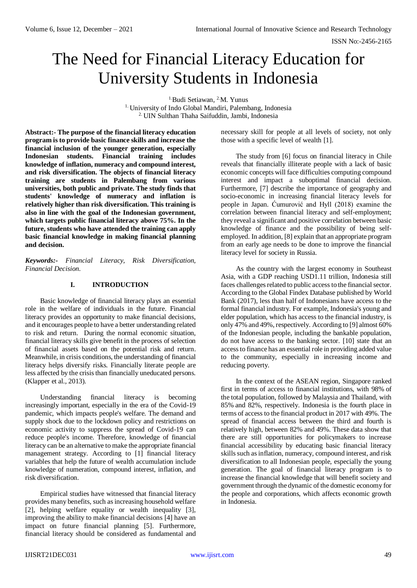# The Need for Financial Literacy Education for University Students in Indonesia

<sup>1.</sup>Budi Setiawan, <sup>2.</sup>M. Yunus

<sup>1.</sup> University of Indo Global Mandiri, Palembang, Indonesia 2. UIN Sulthan Thaha Saifuddin, Jambi, Indonesia

**Abstract:- The purpose of the financial literacy education program is to provide basic finance skills and increase the financial inclusion of the younger generation, especially Indonesian students. Financial training includes knowledge of inflation, numeracy and compound interest, and risk diversification. The objects of financial literacy training are students in Palembang from various universities, both public and private. The study finds that students' knowledge of numeracy and inflation is relatively higher than risk diversification. This training is also in line with the goal of the Indonesian government, which targets public financial literacy above 75%. In the future, students who have attended the training can apply basic financial knowledge in making financial planning and decision.**

*Keywords:- Financial Literacy, Risk Diversification, Financial Decision.*

# **I. INTRODUCTION**

Basic knowledge of financial literacy plays an essential role in the welfare of individuals in the future. Financial literacy provides an opportunity to make financial decisions, and it encourages people to have a better understanding related to risk and return. During the normal economic situation, financial literacy skills give benefit in the process of selection of financial assets based on the potential risk and return. Meanwhile, in crisis conditions, the understanding of financial literacy helps diversify risks. Financially literate people are less affected by the crisis than financially uneducated persons. (Klapper et al., 2013).

Understanding financial literacy is becoming increasingly important, especially in the era of the Covid-19 pandemic, which impacts people's welfare. The demand and supply shock due to the lockdown policy and restrictions on economic activity to suppress the spread of Covid-19 can reduce people's income. Therefore, knowledge of financial literacy can be an alternative to make the appropriate financial management strategy. According to [1] financial literacy variables that help the future of wealth accumulation include knowledge of numeration, compound interest, inflation, and risk diversification.

Empirical studies have witnessed that financial literacy provides many benefits, such as increasing household welfare [2], helping welfare equality or wealth inequality [3], improving the ability to make financial decisions [4] have an impact on future financial planning [5]. Furthermore, financial literacy should be considered as fundamental and necessary skill for people at all levels of society, not only those with a specific level of wealth [1].

The study from [6] focus on financial literacy in Chile reveals that financially illiterate people with a lack of basic economic concepts will face difficulties computing compound interest and impact a suboptimal financial decision. Furthermore, [7] describe the importance of geography and socio-economic in increasing financial literacy levels for people in Japan. Ćumurović and Hyll (2018) examine the correlation between financial literacy and self-employment; they reveal a significant and positive correlation between basic knowledge of finance and the possibility of being selfemployed. In addition, [8] explain that an appropriate program from an early age needs to be done to improve the financial literacy level for society in Russia.

As the country with the largest economy in Southeast Asia, with a GDP reaching USD1.11 trillion, Indonesia still faces challenges related to public access to the financial sector. According to the Global Findex Database published by World Bank (2017), less than half of Indonesians have access to the formal financial industry. For example, Indonesia's young and elder population, which has access to the financial industry, is only 47% and 49%, respectively. According to [9] almost 60% of the Indonesian people, including the bankable population, do not have access to the banking sector. [10] state that an access to finance has an essential role in providing added value to the community, especially in increasing income and reducing poverty.

In the context of the ASEAN region, Singapore ranked first in terms of access to financial institutions, with 98% of the total population, followed by Malaysia and Thailand, with 85% and 82%, respectively. Indonesia is the fourth place in terms of access to the financial product in 2017 with 49%. The spread of financial access between the third and fourth is relatively high, between 82% and 49%. These data show that there are still opportunities for policymakers to increase financial accessibility by educating basic financial literacy skills such as inflation, numeracy, compound interest, and risk diversification to all Indonesian people, especially the young generation. The goal of financial literacy program is to increase the financial knowledge that will benefit society and government through the dynamic of the domestic economy for the people and corporations, which affects economic growth in Indonesia.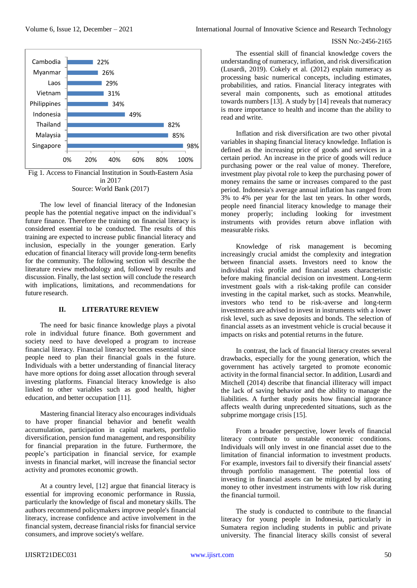

The low level of financial literacy of the Indonesian people has the potential negative impact on the individual's future finance. Therefore the training on financial literacy is considered essential to be conducted. The results of this training are expected to increase public financial literacy and inclusion, especially in the younger generation. Early education of financial literacy will provide long-term benefits for the community. The following section will describe the literature review methodology and, followed by results and discussion. Finally, the last section will conclude the research with implications, limitations, and recommendations for future research.

## **II. LITERATURE REVIEW**

The need for basic finance knowledge plays a pivotal role in individual future finance. Both government and society need to have developed a program to increase financial literacy. Financial literacy becomes essential since people need to plan their financial goals in the future. Individuals with a better understanding of financial literacy have more options for doing asset allocation through several investing platforms. Financial literacy knowledge is also linked to other variables such as good health, higher education, and better occupation [11].

Mastering financial literacy also encourages individuals to have proper financial behavior and benefit wealth accumulation, participation in capital markets, portfolio diversification, pension fund management, and responsibility for financial preparation in the future. Furthermore, the people's participation in financial service, for example invests in financial market, will increase the financial sector activity and promotes economic growth.

At a country level, [12] argue that financial literacy is essential for improving economic performance in Russia, particularly the knowledge of fiscal and monetary skills. The authors recommend policymakers improve people's financial literacy, increase confidence and active involvement in the financial system, decrease financial risks for financial service consumers, and improve society's welfare.

The essential skill of financial knowledge covers the understanding of numeracy, inflation, and risk diversification (Lusardi, 2019). Cokely et al. (2012) explain numeracy as processing basic numerical concepts, including estimates, probabilities, and ratios. Financial literacy integrates with several main components, such as emotional attitudes towards numbers [13]. A study by [14] reveals that numeracy is more importance to health and income than the ability to read and write.

Inflation and risk diversification are two other pivotal variables in shaping financial literacy knowledge. Inflation is defined as the increasing price of goods and services in a certain period. An increase in the price of goods will reduce purchasing power or the real value of money. Therefore, investment play pivotal role to keep the purchasing power of money remains the same or increases compared to the past period. Indonesia's average annual inflation has ranged from 3% to 4% per year for the last ten years. In other words, people need financial literacy knowledge to manage their money properly; including looking for investment instruments with provides return above inflation with measurable risks.

Knowledge of risk management is becoming increasingly crucial amidst the complexity and integration between financial assets. Investors need to know the individual risk profile and financial assets characteristic before making financial decision on investment. Long-term investment goals with a risk-taking profile can consider investing in the capital market, such as stocks. Meanwhile, investors who tend to be risk-averse and long-term investments are advised to invest in instruments with a lower risk level, such as save deposits and bonds. The selection of financial assets as an investment vehicle is crucial because it impacts on risks and potential returns in the future.

In contrast, the lack of financial literacy creates several drawbacks, especially for the young generation, which the government has actively targeted to promote economic activity in the formal financial sector. In addition, Lusardi and Mitchell (2014) describe that financial illiteracy will impact the lack of saving behavior and the ability to manage the liabilities. A further study posits how financial ignorance affects wealth during unprecedented situations, such as the subprime mortgage crisis [15].

From a broader perspective, lower levels of financial literacy contribute to unstable economic conditions. Individuals will only invest in one financial asset due to the limitation of financial information to investment products. For example, investors fail to diversify their financial assets' through portfolio management. The potential loss of investing in financial assets can be mitigated by allocating money to other investment instruments with low risk during the financial turmoil.

The study is conducted to contribute to the financial literacy for young people in Indonesia, particularly in Sumatera region including students in public and private university. The financial literacy skills consist of several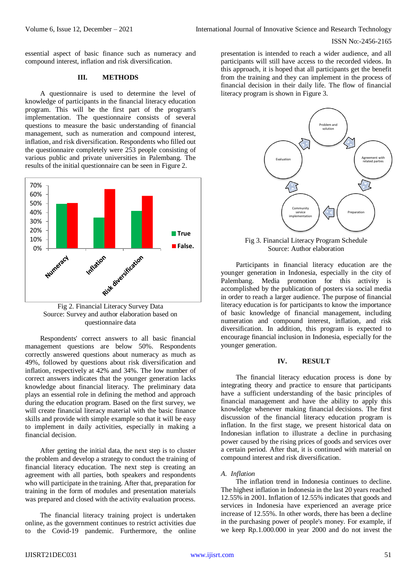essential aspect of basic finance such as numeracy and compound interest, inflation and risk diversification.

## **III. METHODS**

A questionnaire is used to determine the level of knowledge of participants in the financial literacy education program. This will be the first part of the program's implementation. The questionnaire consists of several questions to measure the basic understanding of financial management, such as numeration and compound interest, inflation, and risk diversification. Respondents who filled out the questionnaire completely were 253 people consisting of various public and private universities in Palembang. The results of the initial questionnaire can be seen in Figure 2.



Fig 2. Financial Literacy Survey Data Source: Survey and author elaboration based on questionnaire data

Respondents' correct answers to all basic financial management questions are below 50%. Respondents correctly answered questions about numeracy as much as 49%, followed by questions about risk diversification and inflation, respectively at 42% and 34%. The low number of correct answers indicates that the younger generation lacks knowledge about financial literacy. The preliminary data plays an essential role in defining the method and approach during the education program. Based on the first survey, we will create financial literacy material with the basic finance skills and provide with simple example so that it will be easy to implement in daily activities, especially in making a financial decision.

After getting the initial data, the next step is to cluster the problem and develop a strategy to conduct the training of financial literacy education. The next step is creating an agreement with all parties, both speakers and respondents who will participate in the training. After that, preparation for training in the form of modules and presentation materials was prepared and closed with the activity evaluation process.

The financial literacy training project is undertaken online, as the government continues to restrict activities due to the Covid-19 pandemic. Furthermore, the online presentation is intended to reach a wider audience, and all participants will still have access to the recorded videos. In this approach, it is hoped that all participants get the benefit from the training and they can implement in the process of financial decision in their daily life. The flow of financial literacy program is shown in Figure 3.



Fig 3. Financial Literacy Program Schedule Source: Author elaboration

Participants in financial literacy education are the younger generation in Indonesia, especially in the city of Palembang. Media promotion for this activity is accomplished by the publication of posters via social media in order to reach a larger audience. The purpose of financial literacy education is for participants to know the importance of basic knowledge of financial management, including numeration and compound interest, inflation, and risk diversification. In addition, this program is expected to encourage financial inclusion in Indonesia, especially for the younger generation.

## **IV. RESULT**

The financial literacy education process is done by integrating theory and practice to ensure that participants have a sufficient understanding of the basic principles of financial management and have the ability to apply this knowledge whenever making financial decisions. The first discussion of the financial literacy education program is inflation. In the first stage, we present historical data on Indonesian inflation to illustrate a decline in purchasing power caused by the rising prices of goods and services over a certain period. After that, it is continued with material on compound interest and risk diversification.

## *A. Inflation*

The inflation trend in Indonesia continues to decline. The highest inflation in Indonesia in the last 20 years reached 12.55% in 2001. Inflation of 12.55% indicates that goods and services in Indonesia have experienced an average price increase of 12.55%. In other words, there has been a decline in the purchasing power of people's money. For example, if we keep Rp.1.000.000 in year 2000 and do not invest the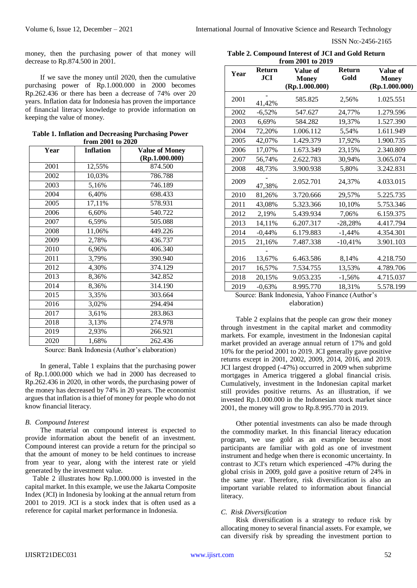money, then the purchasing power of that money will decrease to Rp.874.500 in 2001.

If we save the money until 2020, then the cumulative purchasing power of Rp.1.000.000 in 2000 becomes Rp.262.436 or there has been a decrease of 74% over 20 years. Inflation data for Indonesia has proven the importance of financial literacy knowledge to provide information on keeping the value of money.

| Table 1. Inflation and Decreasing Purchasing Power |  |
|----------------------------------------------------|--|
| from 2001 to 2020                                  |  |

| Year | <b>Inflation</b> | <b>Value of Money</b> |  |
|------|------------------|-----------------------|--|
|      |                  | (Rp.1.000.000)        |  |
| 2001 | 12,55%           | 874.500               |  |
| 2002 | 10,03%           | 786.788               |  |
| 2003 | 5,16%            | 746.189               |  |
| 2004 | 6,40%            | 698.433               |  |
| 2005 | 17,11%           | 578.931               |  |
| 2006 | 6,60%            | 540.722               |  |
| 2007 | 6,59%            | 505.088               |  |
| 2008 | 11,06%           | 449.226               |  |
| 2009 | 2,78%            | 436.737               |  |
| 2010 | 6,96%            | 406.340               |  |
| 2011 | 3,79%            | 390.940               |  |
| 2012 | 4,30%            | 374.129               |  |
| 2013 | 8,36%            | 342.852               |  |
| 2014 | 8,36%            | 314.190               |  |
| 2015 | 3,35%            | 303.664               |  |
| 2016 | 3,02%            | 294.494               |  |
| 2017 | 3,61%            | 283.863               |  |
| 2018 | 3,13%            | 274.978               |  |
| 2019 | 2,93%            | 266.921               |  |
| 2020 | 1,68%            | 262.436               |  |

Source: Bank Indonesia (Author's elaboration)

In general, Table 1 explains that the purchasing power of Rp.1.000.000 which we had in 2000 has decreased to Rp.262.436 in 2020, in other words, the purchasing power of the money has decreased by 74% in 20 years. The economist argues that inflation is a thief of money for people who do not know financial literacy.

#### *B. Compound Interest*

The material on compound interest is expected to provide information about the benefit of an investment. Compound interest can provide a return for the principal so that the amount of money to be held continues to increase from year to year, along with the interest rate or yield generated by the investment value.

Table 2 illustrates how Rp.1.000.000 is invested in the capital market. In this example, we use the Jakarta Composite Index (JCI) in Indonesia by looking at the annual return from 2001 to 2019. JCI is a stock index that is often used as a reference for capital market performance in Indonesia.

| Table 2. Compound Interest of JCI and Gold Return |  |  |  |  |
|---------------------------------------------------|--|--|--|--|
| from 2001 to 2019                                 |  |  |  |  |

| Year           | <b>Return</b><br><b>JCI</b> | 11 VIII 2001 to 2017<br>Value of                         | <b>Return</b><br>Gold               | Value of                       |
|----------------|-----------------------------|----------------------------------------------------------|-------------------------------------|--------------------------------|
|                |                             | <b>Money</b><br>(Rp.1.000.000)                           |                                     | <b>Money</b><br>(Rp.1.000.000) |
| 2001           | 41,42%                      | 585.825                                                  | 2,56%                               | 1.025.551                      |
| 2002           | $-6,52%$                    | 547.627                                                  | 24,77%                              | 1.279.596                      |
| 2003           | 6,69%                       | 584.282                                                  | 19,37%                              | 1.527.390                      |
| 2004           | 72,20%                      | 1.006.112                                                | 5,54%                               | 1.611.949                      |
| 2005           | 42,07%                      | 1.429.379                                                | 17,92%                              | 1.900.735                      |
| 2006           | 17,07%                      | 1.673.349                                                | 23,15%                              | 2.340.809                      |
| 2007           | 56,74%                      | 2.622.783                                                | 30,94%                              | 3.065.074                      |
| 2008           | 48,73%                      | 3.900.938                                                | 5,80%                               | 3.242.831                      |
| 2009           | 47,38%                      | 2.052.701                                                | 24,37%                              | 4.033.015                      |
| 2010           | 81,26%                      | 3.720.666                                                | 29,57%                              | 5.225.735                      |
| 2011           | 43,08%                      | 5.323.366                                                | 10,10%                              | 5.753.346                      |
| 2012           | 2,19%                       | 5.439.934                                                | 7,06%                               | 6.159.375                      |
| 2013           | 14,11%                      | 6.207.317                                                | $-28,28%$                           | 4.417.794                      |
| 2014           | $-0,44%$                    | 6.179.883                                                | $-1,44%$                            | 4.354.301                      |
| 2015           | 21,16%                      | 7.487.338                                                | $-10,41%$                           | 3.901.103                      |
|                |                             |                                                          |                                     |                                |
| 2016           | 13,67%                      | 6.463.586                                                | 8,14%                               | 4.218.750                      |
| 2017           | 16,57%                      | 7.534.755                                                | 13,53%                              | 4.789.706                      |
| 2018           | 20,15%                      | 9.053.235                                                | $-1,56%$                            | 4.715.037                      |
| 2019<br>$\sim$ | $-0,63%$<br>$D = 1 - T = 1$ | 8.995.770<br>юt.<br>$\mathbf{v} = \mathbf{v} \mathbf{v}$ | 18,31%<br>$\sim$ (A $-$ 41 $\sim$ 5 | 5.578.199                      |

Source: Bank Indonesia, Yahoo Finance (Author's elaboration)

Table 2 explains that the people can grow their money through investment in the capital market and commodity markets. For example, investment in the Indonesian capital market provided an average annual return of 17% and gold 10% for the period 2001 to 2019. JCI generally gave positive returns except in 2001, 2002, 2009, 2014, 2016, and 2019. JCI largest dropped (-47%) occurred in 2009 when subprime mortgages in America triggered a global financial crisis. Cumulatively, investment in the Indonesian capital market still provides positive returns. As an illustration, if we invested Rp.1.000.000 in the Indonesian stock market since 2001, the money will grow to Rp.8.995.770 in 2019.

Other potential investments can also be made through the commodity market. In this financial literacy education program, we use gold as an example because most participants are familiar with gold as one of investment instrument and hedge when there is economic uncertainty. In contrast to JCI's return which experienced -47% during the global crisis in 2009, gold gave a positive return of 24% in the same year. Therefore, risk diversification is also an important variable related to information about financial literacy.

#### *C. Risk Diversification*

Risk diversification is a strategy to reduce risk by allocating money to several financial assets. For example, we can diversify risk by spreading the investment portion to